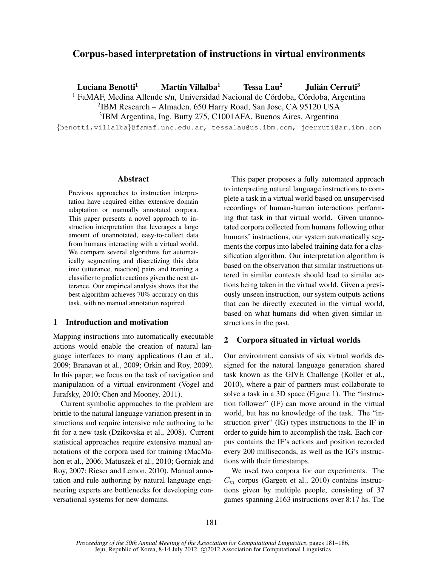# Corpus-based interpretation of instructions in virtual environments

Luciana Benotti<sup>1</sup> Martín Villalba<sup>1</sup> Tessa Lau<sup>2</sup> Julián Cerruti<sup>3</sup>

 $1$  FaMAF, Medina Allende s/n, Universidad Nacional de Córdoba, Córdoba, Argentina

2 IBM Research – Almaden, 650 Harry Road, San Jose, CA 95120 USA

3 IBM Argentina, Ing. Butty 275, C1001AFA, Buenos Aires, Argentina

{benotti,villalba}@famaf.unc.edu.ar, tessalau@us.ibm.com, jcerruti@ar.ibm.com

#### Abstract

Previous approaches to instruction interpretation have required either extensive domain adaptation or manually annotated corpora. This paper presents a novel approach to instruction interpretation that leverages a large amount of unannotated, easy-to-collect data from humans interacting with a virtual world. We compare several algorithms for automatically segmenting and discretizing this data into (utterance, reaction) pairs and training a classifier to predict reactions given the next utterance. Our empirical analysis shows that the best algorithm achieves 70% accuracy on this task, with no manual annotation required.

# 1 Introduction and motivation

Mapping instructions into automatically executable actions would enable the creation of natural language interfaces to many applications (Lau et al., 2009; Branavan et al., 2009; Orkin and Roy, 2009). In this paper, we focus on the task of navigation and manipulation of a virtual environment (Vogel and Jurafsky, 2010; Chen and Mooney, 2011).

Current symbolic approaches to the problem are brittle to the natural language variation present in instructions and require intensive rule authoring to be fit for a new task (Dzikovska et al., 2008). Current statistical approaches require extensive manual annotations of the corpora used for training (MacMahon et al., 2006; Matuszek et al., 2010; Gorniak and Roy, 2007; Rieser and Lemon, 2010). Manual annotation and rule authoring by natural language engineering experts are bottlenecks for developing conversational systems for new domains.

This paper proposes a fully automated approach to interpreting natural language instructions to complete a task in a virtual world based on unsupervised recordings of human-human interactions performing that task in that virtual world. Given unannotated corpora collected from humans following other humans' instructions, our system automatically segments the corpus into labeled training data for a classification algorithm. Our interpretation algorithm is based on the observation that similar instructions uttered in similar contexts should lead to similar actions being taken in the virtual world. Given a previously unseen instruction, our system outputs actions that can be directly executed in the virtual world, based on what humans did when given similar instructions in the past.

### 2 Corpora situated in virtual worlds

Our environment consists of six virtual worlds designed for the natural language generation shared task known as the GIVE Challenge (Koller et al., 2010), where a pair of partners must collaborate to solve a task in a 3D space (Figure 1). The "instruction follower" (IF) can move around in the virtual world, but has no knowledge of the task. The "instruction giver" (IG) types instructions to the IF in order to guide him to accomplish the task. Each corpus contains the IF's actions and position recorded every 200 milliseconds, as well as the IG's instructions with their timestamps.

We used two corpora for our experiments. The  $C_m$  corpus (Gargett et al., 2010) contains instructions given by multiple people, consisting of 37 games spanning 2163 instructions over 8:17 hs. The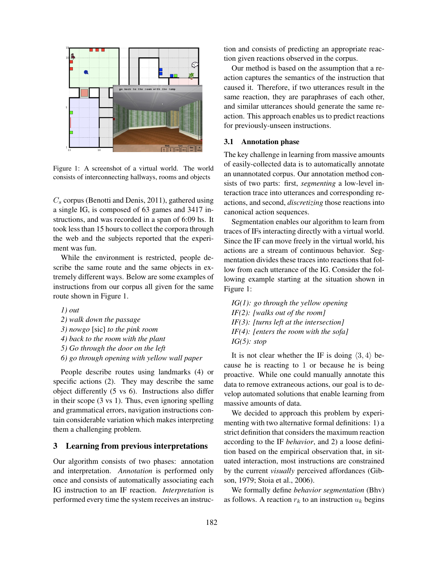

Figure 1: A screenshot of a virtual world. The world consists of interconnecting hallways, rooms and objects

 $C_s$  corpus (Benotti and Denis, 2011), gathered using a single IG, is composed of 63 games and 3417 instructions, and was recorded in a span of 6:09 hs. It took less than 15 hours to collect the corpora through the web and the subjects reported that the experiment was fun.

While the environment is restricted, people describe the same route and the same objects in extremely different ways. Below are some examples of instructions from our corpus all given for the same route shown in Figure 1.

*1) out 2) walk down the passage 3) nowgo* [sic] *to the pink room 4) back to the room with the plant 5) Go through the door on the left 6) go through opening with yellow wall paper*

People describe routes using landmarks (4) or specific actions (2). They may describe the same object differently (5 vs 6). Instructions also differ in their scope (3 vs 1). Thus, even ignoring spelling and grammatical errors, navigation instructions contain considerable variation which makes interpreting them a challenging problem.

### 3 Learning from previous interpretations

Our algorithm consists of two phases: annotation and interpretation. *Annotation* is performed only once and consists of automatically associating each IG instruction to an IF reaction. *Interpretation* is performed every time the system receives an instruction and consists of predicting an appropriate reaction given reactions observed in the corpus.

Our method is based on the assumption that a reaction captures the semantics of the instruction that caused it. Therefore, if two utterances result in the same reaction, they are paraphrases of each other, and similar utterances should generate the same reaction. This approach enables us to predict reactions for previously-unseen instructions.

#### 3.1 Annotation phase

The key challenge in learning from massive amounts of easily-collected data is to automatically annotate an unannotated corpus. Our annotation method consists of two parts: first, *segmenting* a low-level interaction trace into utterances and corresponding reactions, and second, *discretizing* those reactions into canonical action sequences.

Segmentation enables our algorithm to learn from traces of IFs interacting directly with a virtual world. Since the IF can move freely in the virtual world, his actions are a stream of continuous behavior. Segmentation divides these traces into reactions that follow from each utterance of the IG. Consider the following example starting at the situation shown in Figure 1:

*IG(1): go through the yellow opening IF(2): [walks out of the room] IF(3): [turns left at the intersection] IF(4): [enters the room with the sofa] IG(5): stop*

It is not clear whether the IF is doing  $\langle 3, 4 \rangle$  because he is reacting to 1 or because he is being proactive. While one could manually annotate this data to remove extraneous actions, our goal is to develop automated solutions that enable learning from massive amounts of data.

We decided to approach this problem by experimenting with two alternative formal definitions: 1) a strict definition that considers the maximum reaction according to the IF *behavior*, and 2) a loose definition based on the empirical observation that, in situated interaction, most instructions are constrained by the current *visually* perceived affordances (Gibson, 1979; Stoia et al., 2006).

We formally define *behavior segmentation* (Bhv) as follows. A reaction  $r_k$  to an instruction  $u_k$  begins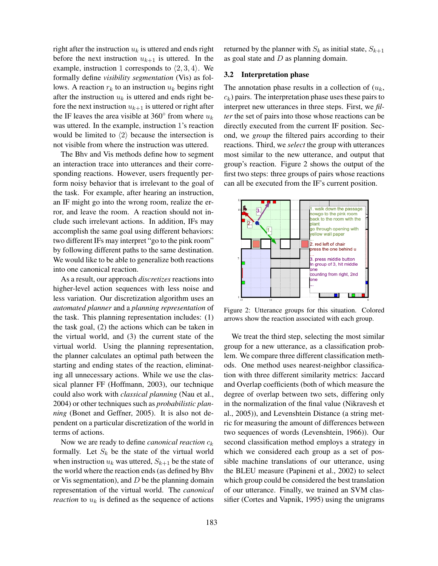right after the instruction  $u_k$  is uttered and ends right before the next instruction  $u_{k+1}$  is uttered. In the example, instruction 1 corresponds to  $\langle 2, 3, 4 \rangle$ . We formally define *visibility segmentation* (Vis) as follows. A reaction  $r_k$  to an instruction  $u_k$  begins right after the instruction  $u_k$  is uttered and ends right before the next instruction  $u_{k+1}$  is uttered or right after the IF leaves the area visible at 360 $^{\circ}$  from where  $u_k$ was uttered. In the example, instruction 1's reaction would be limited to  $\langle 2 \rangle$  because the intersection is not visible from where the instruction was uttered.

The Bhv and Vis methods define how to segment an interaction trace into utterances and their corresponding reactions. However, users frequently perform noisy behavior that is irrelevant to the goal of the task. For example, after hearing an instruction, an IF might go into the wrong room, realize the error, and leave the room. A reaction should not include such irrelevant actions. In addition, IFs may accomplish the same goal using different behaviors: two different IFs may interpret "go to the pink room" by following different paths to the same destination. We would like to be able to generalize both reactions into one canonical reaction.

As a result, our approach *discretizes* reactions into higher-level action sequences with less noise and less variation. Our discretization algorithm uses an *automated planner* and a *planning representation* of the task. This planning representation includes: (1) the task goal, (2) the actions which can be taken in the virtual world, and (3) the current state of the virtual world. Using the planning representation, the planner calculates an optimal path between the starting and ending states of the reaction, eliminating all unnecessary actions. While we use the classical planner FF (Hoffmann, 2003), our technique could also work with *classical planning* (Nau et al., 2004) or other techniques such as *probabilistic planning* (Bonet and Geffner, 2005). It is also not dependent on a particular discretization of the world in terms of actions.

Now we are ready to define *canonical reaction*  $c_k$ formally. Let  $S_k$  be the state of the virtual world when instruction  $u_k$  was uttered,  $S_{k+1}$  be the state of the world where the reaction ends (as defined by Bhv or Vis segmentation), and  $D$  be the planning domain representation of the virtual world. The *canonical reaction* to  $u_k$  is defined as the sequence of actions returned by the planner with  $S_k$  as initial state,  $S_{k+1}$ as goal state and  $D$  as planning domain.

### 3.2 Interpretation phase

The annotation phase results in a collection of  $(u_k,$  $c_k$ ) pairs. The interpretation phase uses these pairs to interpret new utterances in three steps. First, we *filter* the set of pairs into those whose reactions can be directly executed from the current IF position. Second, we *group* the filtered pairs according to their reactions. Third, we *select* the group with utterances most similar to the new utterance, and output that group's reaction. Figure 2 shows the output of the first two steps: three groups of pairs whose reactions can all be executed from the IF's current position.



Figure 2: Utterance groups for this situation. Colored arrows show the reaction associated with each group.

We treat the third step, selecting the most similar group for a new utterance, as a classification problem. We compare three different classification methods. One method uses nearest-neighbor classification with three different similarity metrics: Jaccard and Overlap coefficients (both of which measure the degree of overlap between two sets, differing only in the normalization of the final value (Nikravesh et al., 2005)), and Levenshtein Distance (a string metric for measuring the amount of differences between two sequences of words (Levenshtein, 1966)). Our second classification method employs a strategy in which we considered each group as a set of possible machine translations of our utterance, using the BLEU measure (Papineni et al., 2002) to select which group could be considered the best translation of our utterance. Finally, we trained an SVM classifier (Cortes and Vapnik, 1995) using the unigrams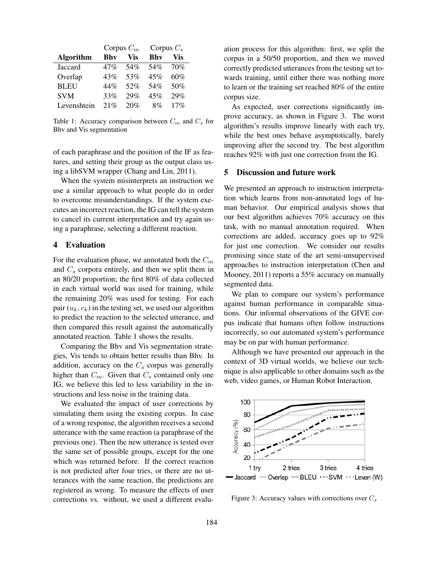|                  | Corpus $C_m$ |     | Corpus $C_s$ |     |
|------------------|--------------|-----|--------------|-----|
| <b>Algorithm</b> | Bhy          | Vis | <b>Bhy</b>   | Vis |
| Jaccard          | 47%          | 54% | 54%          | 70% |
| Overlap          | 43%          | 53% | 45%          | 60% |
| <b>BLEU</b>      | 44%          | 52% | 54%          | 50% |
| <b>SVM</b>       | 33%          | 29% | 45%          | 29% |
| Levenshtein      | 21%          | 20% | 8%           | 17% |

Table 1: Accuracy comparison between  $C_m$  and  $C_s$  for Bhv and Vis segmentation

of each paraphrase and the position of the IF as features, and setting their group as the output class using a libSVM wrapper (Chang and Lin, 2011).

When the system misinterprets an instruction we use a similar approach to what people do in order to overcome misunderstandings. If the system executes an incorrect reaction, the IG can tell the system to cancel its current interpretation and try again using a paraphrase, selecting a different reaction.

### 4 Evaluation

For the evaluation phase, we annotated both the  $C_m$ and  $C_s$  corpora entirely, and then we split them in an 80/20 proportion; the first 80% of data collected in each virtual world was used for training, while the remaining 20% was used for testing. For each pair  $(u_k, c_k)$  in the testing set, we used our algorithm to predict the reaction to the selected utterance, and then compared this result against the automatically annotated reaction. Table 1 shows the results.

Comparing the Bhv and Vis segmentation strategies, Vis tends to obtain better results than Bhv. In addition, accuracy on the  $C_s$  corpus was generally higher than  $C_m$ . Given that  $C_s$  contained only one IG, we believe this led to less variability in the instructions and less noise in the training data.

We evaluated the impact of user corrections by simulating them using the existing corpus. In case of a wrong response, the algorithm receives a second utterance with the same reaction (a paraphrase of the previous one). Then the new utterance is tested over the same set of possible groups, except for the one which was returned before. If the correct reaction is not predicted after four tries, or there are no utterances with the same reaction, the predictions are registered as wrong. To measure the effects of user corrections vs. without, we used a different evaluation process for this algorithm: first, we split the corpus in a 50/50 proportion, and then we moved correctly predicted utterances from the testing set towards training, until either there was nothing more to learn or the training set reached 80% of the entire corpus size.

As expected, user corrections significantly improve accuracy, as shown in Figure 3. The worst algorithm's results improve linearly with each try, while the best ones behave asymptotically, barely improving after the second try. The best algorithm reaches 92% with just one correction from the IG.

# 5 Discussion and future work

We presented an approach to instruction interpretation which learns from non-annotated logs of human behavior. Our empirical analysis shows that our best algorithm achieves 70% accuracy on this task, with no manual annotation required. When corrections are added, accuracy goes up to 92% for just one correction. We consider our results promising since state of the art semi-unsupervised approaches to instruction interpretation (Chen and Mooney, 2011) reports a 55% accuracy on manually segmented data.

We plan to compare our system's performance against human performance in comparable situations. Our informal observations of the GIVE corpus indicate that humans often follow instructions incorrectly, so our automated system's performance may be on par with human performance.

Although we have presented our approach in the context of 3D virtual worlds, we believe our technique is also applicable to other domains such as the web, video games, or Human Robot Interaction.



Figure 3: Accuracy values with corrections over  $C_s$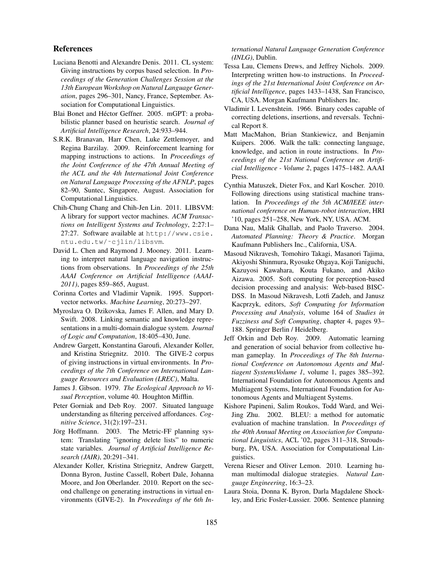# References

- Luciana Benotti and Alexandre Denis. 2011. CL system: Giving instructions by corpus based selection. In *Proceedings of the Generation Challenges Session at the 13th European Workshop on Natural Language Generation*, pages 296–301, Nancy, France, September. Association for Computational Linguistics.
- Blai Bonet and Héctor Geffner. 2005. mGPT: a probabilistic planner based on heuristic search. *Journal of Artificial Intelligence Research*, 24:933–944.
- S.R.K. Branavan, Harr Chen, Luke Zettlemoyer, and Regina Barzilay. 2009. Reinforcement learning for mapping instructions to actions. In *Proceedings of the Joint Conference of the 47th Annual Meeting of the ACL and the 4th International Joint Conference on Natural Language Processing of the AFNLP*, pages 82–90, Suntec, Singapore, August. Association for Computational Linguistics.
- Chih-Chung Chang and Chih-Jen Lin. 2011. LIBSVM: A library for support vector machines. *ACM Transactions on Intelligent Systems and Technology*, 2:27:1– 27:27. Software available at http://www.csie. ntu.edu.tw/˜cjlin/libsvm.
- David L. Chen and Raymond J. Mooney. 2011. Learning to interpret natural language navigation instructions from observations. In *Proceedings of the 25th AAAI Conference on Artificial Intelligence (AAAI-2011)*, pages 859–865, August.
- Corinna Cortes and Vladimir Vapnik. 1995. Supportvector networks. *Machine Learning*, 20:273–297.
- Myroslava O. Dzikovska, James F. Allen, and Mary D. Swift. 2008. Linking semantic and knowledge representations in a multi-domain dialogue system. *Journal of Logic and Computation*, 18:405–430, June.
- Andrew Gargett, Konstantina Garoufi, Alexander Koller, and Kristina Striegnitz. 2010. The GIVE-2 corpus of giving instructions in virtual environments. In *Proceedings of the 7th Conference on International Language Resources and Evaluation (LREC)*, Malta.
- James J. Gibson. 1979. *The Ecological Approach to Visual Perception*, volume 40. Houghton Mifflin.
- Peter Gorniak and Deb Roy. 2007. Situated language understanding as filtering perceived affordances. *Cognitive Science*, 31(2):197–231.
- Jörg Hoffmann. 2003. The Metric-FF planning system: Translating "ignoring delete lists" to numeric state variables. *Journal of Artificial Intelligence Research (JAIR)*, 20:291–341.
- Alexander Koller, Kristina Striegnitz, Andrew Gargett, Donna Byron, Justine Cassell, Robert Dale, Johanna Moore, and Jon Oberlander. 2010. Report on the second challenge on generating instructions in virtual environments (GIVE-2). In *Proceedings of the 6th In-*

*ternational Natural Language Generation Conference (INLG)*, Dublin.

- Tessa Lau, Clemens Drews, and Jeffrey Nichols. 2009. Interpreting written how-to instructions. In *Proceedings of the 21st International Joint Conference on Artificial Intelligence*, pages 1433–1438, San Francisco, CA, USA. Morgan Kaufmann Publishers Inc.
- Vladimir I. Levenshtein. 1966. Binary codes capable of correcting deletions, insertions, and reversals. Technical Report 8.
- Matt MacMahon, Brian Stankiewicz, and Benjamin Kuipers. 2006. Walk the talk: connecting language, knowledge, and action in route instructions. In *Proceedings of the 21st National Conference on Artificial Intelligence - Volume 2*, pages 1475–1482. AAAI Press.
- Cynthia Matuszek, Dieter Fox, and Karl Koscher. 2010. Following directions using statistical machine translation. In *Proceedings of the 5th ACM/IEEE international conference on Human-robot interaction*, HRI '10, pages 251–258, New York, NY, USA. ACM.
- Dana Nau, Malik Ghallab, and Paolo Traverso. 2004. *Automated Planning: Theory & Practice*. Morgan Kaufmann Publishers Inc., California, USA.
- Masoud Nikravesh, Tomohiro Takagi, Masanori Tajima, Akiyoshi Shinmura, Ryosuke Ohgaya, Koji Taniguchi, Kazuyosi Kawahara, Kouta Fukano, and Akiko Aizawa. 2005. Soft computing for perception-based decision processing and analysis: Web-based BISC-DSS. In Masoud Nikravesh, Lotfi Zadeh, and Janusz Kacprzyk, editors, *Soft Computing for Information Processing and Analysis*, volume 164 of *Studies in Fuzziness and Soft Computing*, chapter 4, pages 93– 188. Springer Berlin / Heidelberg.
- Jeff Orkin and Deb Roy. 2009. Automatic learning and generation of social behavior from collective human gameplay. In *Proceedings of The 8th International Conference on Autonomous Agents and Multiagent SystemsVolume 1*, volume 1, pages 385–392. International Foundation for Autonomous Agents and Multiagent Systems, International Foundation for Autonomous Agents and Multiagent Systems.
- Kishore Papineni, Salim Roukos, Todd Ward, and Wei-Jing Zhu. 2002. BLEU: a method for automatic evaluation of machine translation. In *Proceedings of the 40th Annual Meeting on Association for Computational Linguistics*, ACL '02, pages 311–318, Stroudsburg, PA, USA. Association for Computational Linguistics.
- Verena Rieser and Oliver Lemon. 2010. Learning human multimodal dialogue strategies. *Natural Language Engineering*, 16:3–23.
- Laura Stoia, Donna K. Byron, Darla Magdalene Shockley, and Eric Fosler-Lussier. 2006. Sentence planning